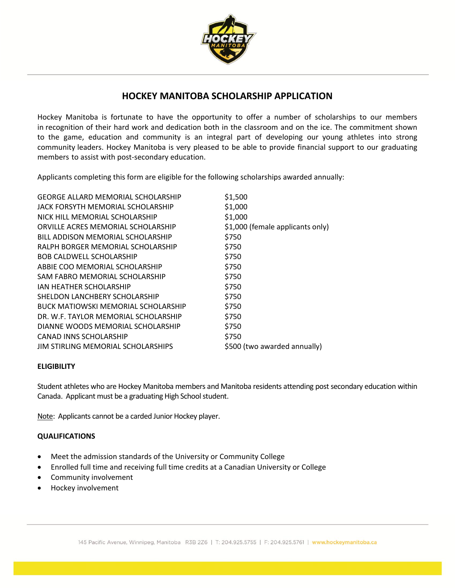

## **HOCKEY MANITOBA SCHOLARSHIP APPLICATION**

Hockey Manitoba is fortunate to have the opportunity to offer a number of scholarships to our members in recognition of their hard work and dedication both in the classroom and on the ice. The commitment shown to the game, education and community is an integral part of developing our young athletes into strong community leaders. Hockey Manitoba is very pleased to be able to provide financial support to our graduating members to assist with post-secondary education.

Applicants completing this form are eligible for the following scholarships awarded annually:

| <b>GEORGE ALLARD MEMORIAL SCHOLARSHIP</b>  | \$1,500                          |
|--------------------------------------------|----------------------------------|
| JACK FORSYTH MEMORIAL SCHOLARSHIP          | \$1,000                          |
| NICK HILL MEMORIAL SCHOLARSHIP             | \$1,000                          |
| ORVILLE ACRES MEMORIAL SCHOLARSHIP         | \$1,000 (female applicants only) |
| BILL ADDISON MEMORIAL SCHOLARSHIP          | \$750                            |
| RALPH BORGER MEMORIAL SCHOLARSHIP          | \$750                            |
| <b>BOB CALDWELL SCHOLARSHIP</b>            | \$750                            |
| ABBIE COO MEMORIAL SCHOLARSHIP             | \$750                            |
| SAM FABRO MEMORIAL SCHOLARSHIP             | \$750                            |
| IAN HEATHER SCHOLARSHIP                    | \$750                            |
| SHELDON LANCHBERY SCHOLARSHIP              | \$750                            |
| <b>BUCK MATIOWSKI MEMORIAL SCHOLARSHIP</b> | \$750                            |
| DR. W.F. TAYLOR MEMORIAL SCHOLARSHIP       | \$750                            |
| DIANNE WOODS MEMORIAL SCHOLARSHIP          | \$750                            |
| CANAD INNS SCHOLARSHIP                     | \$750                            |
| JIM STIRLING MEMORIAL SCHOLARSHIPS         | \$500 (two awarded annually)     |

### **ELIGIBILITY**

Student athletes who are Hockey Manitoba members and Manitoba residents attending post secondary education within Canada. Applicant must be a graduating High School student.

Note: Applicants cannot be a carded Junior Hockey player.

### **QUALIFICATIONS**

- Meet the admission standards of the University or Community College
- Enrolled full time and receiving full time credits at a Canadian University or College
- Community involvement
- Hockey involvement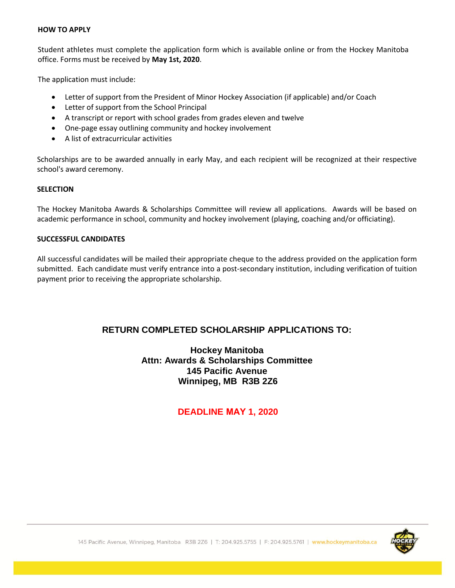#### **HOW TO APPLY**

Student athletes must complete the application form which is available online or from the Hockey Manitoba office. Forms must be received by **May 1st, 2020**.

The application must include:

- Letter of support from the President of Minor Hockey Association (if applicable) and/or Coach
- Letter of support from the School Principal
- A transcript or report with school grades from grades eleven and twelve
- One-page essay outlining community and hockey involvement
- A list of extracurricular activities

Scholarships are to be awarded annually in early May, and each recipient will be recognized at their respective school's award ceremony.

### **SELECTION**

The Hockey Manitoba Awards & Scholarships Committee will review all applications. Awards will be based on academic performance in school, community and hockey involvement (playing, coaching and/or officiating).

### **SUCCESSFUL CANDIDATES**

All successful candidates will be mailed their appropriate cheque to the address provided on the application form submitted. Each candidate must verify entrance into a post-secondary institution, including verification of tuition payment prior to receiving the appropriate scholarship.

## **RETURN COMPLETED SCHOLARSHIP APPLICATIONS TO:**

### **Hockey Manitoba Attn: Awards & Scholarships Committee 145 Pacific Avenue Winnipeg, MB R3B 2Z6**

## **DEADLINE MAY 1, 2020**